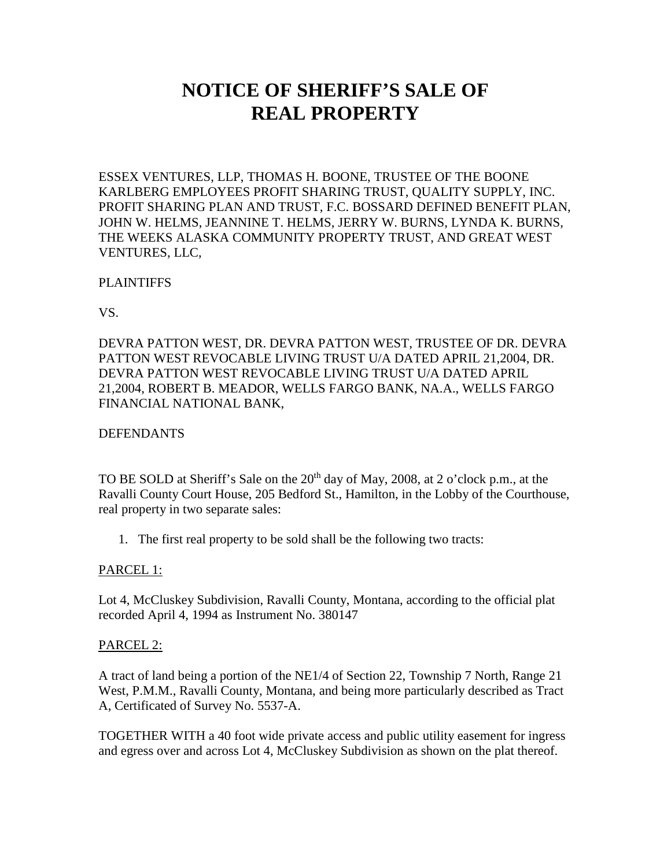# **NOTICE OF SHERIFF'S SALE OF REAL PROPERTY**

ESSEX VENTURES, LLP, THOMAS H. BOONE, TRUSTEE OF THE BOONE KARLBERG EMPLOYEES PROFIT SHARING TRUST, QUALITY SUPPLY, INC. PROFIT SHARING PLAN AND TRUST, F.C. BOSSARD DEFINED BENEFIT PLAN, JOHN W. HELMS, JEANNINE T. HELMS, JERRY W. BURNS, LYNDA K. BURNS, THE WEEKS ALASKA COMMUNITY PROPERTY TRUST, AND GREAT WEST VENTURES, LLC,

# PLAINTIFFS

VS.

DEVRA PATTON WEST, DR. DEVRA PATTON WEST, TRUSTEE OF DR. DEVRA PATTON WEST REVOCABLE LIVING TRUST U/A DATED APRIL 21,2004, DR. DEVRA PATTON WEST REVOCABLE LIVING TRUST U/A DATED APRIL 21,2004, ROBERT B. MEADOR, WELLS FARGO BANK, NA.A., WELLS FARGO FINANCIAL NATIONAL BANK,

### DEFENDANTS

TO BE SOLD at Sheriff's Sale on the  $20<sup>th</sup>$  day of May, 2008, at 2 o'clock p.m., at the Ravalli County Court House, 205 Bedford St., Hamilton, in the Lobby of the Courthouse, real property in two separate sales:

1. The first real property to be sold shall be the following two tracts:

# PARCEL 1:

Lot 4, McCluskey Subdivision, Ravalli County, Montana, according to the official plat recorded April 4, 1994 as Instrument No. 380147

#### PARCEL 2:

A tract of land being a portion of the NE1/4 of Section 22, Township 7 North, Range 21 West, P.M.M., Ravalli County, Montana, and being more particularly described as Tract A, Certificated of Survey No. 5537-A.

TOGETHER WITH a 40 foot wide private access and public utility easement for ingress and egress over and across Lot 4, McCluskey Subdivision as shown on the plat thereof.